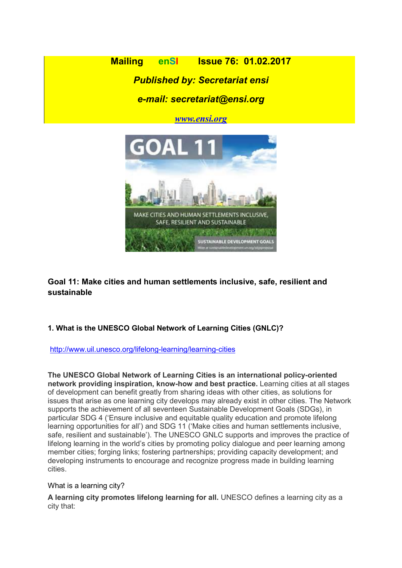**Mailing enSI Issue 76: 01.02.2017** Published by: Secretariat ensi

# e-mail: secretariat@ensi.org

www.ensi.org



Goal 11: Make cities and human settlements inclusive, safe, resilient and sustainable

# 1. What is the UNESCO Global Network of Learning Cities (GNLC)?

### http://www.uil.unesco.org/lifelong-learning/learning-cities

The UNESCO Global Network of Learning Cities is an international policy-oriented network providing inspiration, know-how and best practice. Learning cities at all stages of development can benefit greatly from sharing ideas with other cities, as solutions for issues that arise as one learning city develops may already exist in other cities. The Network supports the achievement of all seventeen Sustainable Development Goals (SDGs), in particular SDG 4 ('Ensure inclusive and equitable quality education and promote lifelong learning opportunities for all') and SDG 11 ('Make cities and human settlements inclusive, safe, resilient and sustainable'). The UNESCO GNLC supports and improves the practice of lifelong learning in the world's cities by promoting policy dialogue and peer learning among member cities; forging links; fostering partnerships; providing capacity development; and developing instruments to encourage and recognize progress made in building learning cities.

#### What is a learning city?

A learning city promotes lifelong learning for all. UNESCO defines a learning city as a city that: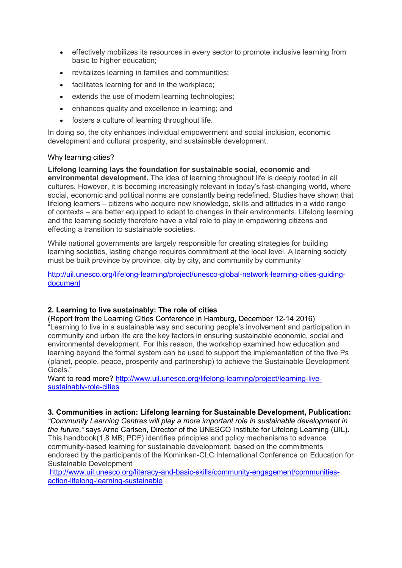- effectively mobilizes its resources in every sector to promote inclusive learning from basic to higher education;
- revitalizes learning in families and communities;
- facilitates learning for and in the workplace;
- extends the use of modern learning technologies;
- enhances quality and excellence in learning; and
- fosters a culture of learning throughout life.

In doing so, the city enhances individual empowerment and social inclusion, economic development and cultural prosperity, and sustainable development.

### Why learning cities?

Lifelong learning lays the foundation for sustainable social, economic and environmental development. The idea of learning throughout life is deeply rooted in all cultures. However, it is becoming increasingly relevant in today's fast-changing world, where social, economic and political norms are constantly being redefined. Studies have shown that lifelong learners – citizens who acquire new knowledge, skills and attitudes in a wide range of contexts – are better equipped to adapt to changes in their environments. Lifelong learning and the learning society therefore have a vital role to play in empowering citizens and effecting a transition to sustainable societies.

While national governments are largely responsible for creating strategies for building learning societies, lasting change requires commitment at the local level. A learning society must be built province by province, city by city, and community by community

http://uil.unesco.org/lifelong-learning/project/unesco-global-network-learning-cities-guidingdocument

# 2. Learning to live sustainably: The role of cities

(Report from the Learning Cities Conference in Hamburg, December 12-14 2016) "Learning to live in a sustainable way and securing people's involvement and participation in community and urban life are the key factors in ensuring sustainable economic, social and environmental development. For this reason, the workshop examined how education and learning beyond the formal system can be used to support the implementation of the five Ps (planet, people, peace, prosperity and partnership) to achieve the Sustainable Development Goals."

Want to read more? http://www.uil.unesco.org/lifelong-learning/project/learning-livesustainably-role-cities

### 3. Communities in action: Lifelong learning for Sustainable Development, Publication:

"Community Learning Centres will play a more important role in sustainable development in the future," says Arne Carlsen, Director of the UNESCO Institute for Lifelong Learning (UIL). This handbook(1,8 MB; PDF) identifies principles and policy mechanisms to advance community-based learning for sustainable development, based on the commitments endorsed by the participants of the Kominkan-CLC International Conference on Education for Sustainable Development

http://www.uil.unesco.org/literacy-and-basic-skills/community-engagement/communitiesaction-lifelong-learning-sustainable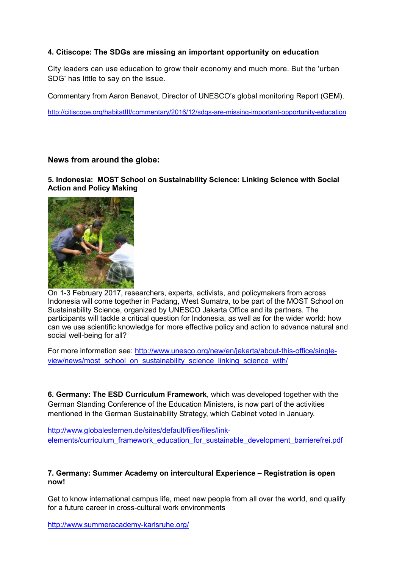### 4. Citiscope: The SDGs are missing an important opportunity on education

City leaders can use education to grow their economy and much more. But the 'urban SDG' has little to say on the issue.

Commentary from Aaron Benavot, Director of UNESCO's global monitoring Report (GEM).

http://citiscope.org/habitatIII/commentary/2016/12/sdgs-are-missing-important-opportunity-education

### News from around the globe:

5. Indonesia: MOST School on Sustainability Science: Linking Science with Social Action and Policy Making



On 1-3 February 2017, researchers, experts, activists, and policymakers from across Indonesia will come together in Padang, West Sumatra, to be part of the MOST School on Sustainability Science, organized by UNESCO Jakarta Office and its partners. The participants will tackle a critical question for Indonesia, as well as for the wider world: how can we use scientific knowledge for more effective policy and action to advance natural and social well-being for all?

For more information see: http://www.unesco.org/new/en/jakarta/about-this-office/singleview/news/most\_school\_on\_sustainability\_science\_linking\_science\_with/

6. Germany: The ESD Curriculum Framework, which was developed together with the German Standing Conference of the Education Ministers, is now part of the activities mentioned in the German Sustainability Strategy, which Cabinet voted in January.

http://www.globaleslernen.de/sites/default/files/files/linkelements/curriculum\_framework\_education\_for\_sustainable\_development\_barrierefrei.pdf

#### 7. Germany: Summer Academy on intercultural Experience – Registration is open now!

Get to know international campus life, meet new people from all over the world, and qualify for a future career in cross-cultural work environments

http://www.summeracademy-karlsruhe.org/